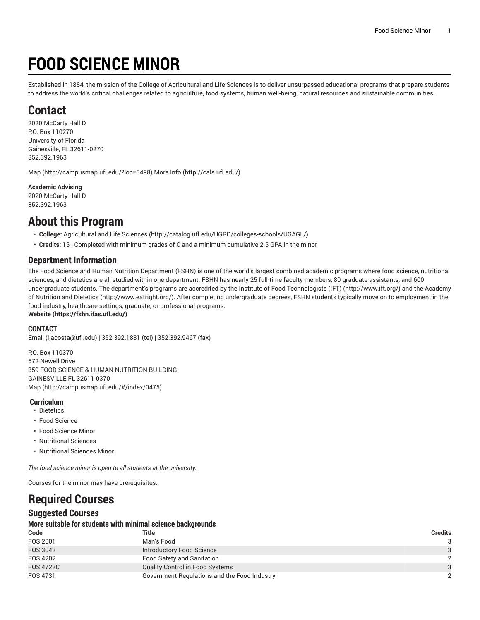# **FOOD SCIENCE MINOR**

Established in 1884, the mission of the College of Agricultural and Life Sciences is to deliver unsurpassed educational programs that prepare students to address the world's critical challenges related to agriculture, food systems, human well-being, natural resources and sustainable communities.

## **Contact**

2020 McCarty Hall D P.O. Box 110270 University of Florida Gainesville, FL 32611-0270 352.392.1963

[Map](http://campusmap.ufl.edu/?loc=0498) ([http://campusmap.ufl.edu/?loc=0498\)](http://campusmap.ufl.edu/?loc=0498) [More](http://cals.ufl.edu/) Info (<http://cals.ufl.edu/>)

**Academic Advising**

2020 McCarty Hall D 352.392.1963

### **About this Program**

- **College:** [Agricultural](http://catalog.ufl.edu/UGRD/colleges-schools/UGAGL/) and Life Sciences ([http://catalog.ufl.edu/UGRD/colleges-schools/UGAGL/\)](http://catalog.ufl.edu/UGRD/colleges-schools/UGAGL/)
- **Credits:** 15 | Completed with minimum grades of C and a minimum cumulative 2.5 GPA in the minor

### **Department Information**

The Food Science and Human Nutrition Department (FSHN) is one of the world's largest combined academic programs where food science, nutritional sciences, and dietetics are all studied within one department. FSHN has nearly 25 full-time faculty members, 80 graduate assistants, and 600 undergraduate students. The department's programs are accredited by the Institute of Food [Technologists](http://www.ift.org/) (IFT) (<http://www.ift.org/>) and the [Academy](http://www.eatright.org/) [of Nutrition and Dietetics](http://www.eatright.org/) ([http://www.eatright.org/\)](http://www.eatright.org/). After completing undergraduate degrees, FSHN students typically move on to employment in the food industry, healthcare settings, graduate, or professional programs. **[Website](https://fshn.ifas.ufl.edu/) ([https://fshn.ifas.ufl.edu/\)](https://fshn.ifas.ufl.edu/)**

#### **CONTACT**

[Email](mailto:ljacosta@ufl.edu) (<ljacosta@ufl.edu>) | 352.392.1881 (tel) | 352.392.9467 (fax)

P.O. Box 110370 572 Newell Drive 359 FOOD SCIENCE & HUMAN NUTRITION BUILDING GAINESVILLE FL 32611-0370 [Map](http://campusmap.ufl.edu/#/index/0475) ([http://campusmap.ufl.edu/#/index/0475\)](http://campusmap.ufl.edu/#/index/0475)

#### **Curriculum**

- Dietetics
- Food Science
- Food Science Minor
- Nutritional Sciences
- Nutritional Sciences Minor

*The food science minor is open to all students at the university.*

Courses for the minor may have prerequisites.

# **Required Courses**

### **Suggested Courses**

#### **More suitable for students with minimal science backgrounds**

| Code             | Title                                        | Credits       |
|------------------|----------------------------------------------|---------------|
| FOS 2001         | Man's Food                                   |               |
| FOS 3042         | Introductory Food Science                    | 3             |
| FOS 4202         | <b>Food Safety and Sanitation</b>            | $\mathcal{D}$ |
| <b>FOS 4722C</b> | <b>Quality Control in Food Systems</b>       | $\mathcal{A}$ |
| FOS 4731         | Government Regulations and the Food Industry |               |